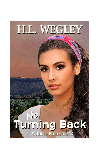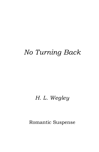# *No Turning Back*

## *H. L. Wegley*

Romantic Suspense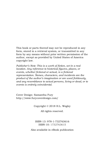This book or parts thereof may not be reproduced in any form, stored in a retrieval system, or transmitted in any form by any means without prior written permission of the author, except as provided by United States of America copyright law.

*Publisher's Note: This is a work of fiction, set in a real location. Any reference to historical figures, places, or events, whether fictional or actual, is a fictional representation. Names, characters, and incidents are the product of the author's imagination or are used fictitiously, and any resemblance to actual persons, living or dead, or to events is entirely coincidental.*

Cover Design: Samantha Fury http://www.furycoverdesign.com/

Copyright © 2018 H.L. Wegley

All rights reserved.

ISBN-13: 978-1-732763616 ISBN-10: 1732763615

Also available in eBook publication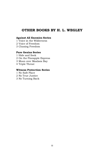## **OTHER BOOKS BY H. L. WEGLEY**

#### **Against All Enemies Series**

- 1 Voice in the Wilderness
- 2 Voice of Freedom
- 3 Chasing Freedom

#### **Pure Genius Series**

- 1 Hide and Seek
- 2 On the Pineapple Express
- 3 Moon over Maalaea Bay
- 4 Triple Threat

#### **Witness Protection Series**

- 1 No Safe Place
- 2 No True Justice
- 3 No Turning Back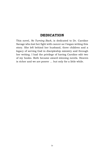### **DEDICATION**

This novel, *No Turning Back,* is dedicated to Dr. Caroline Savage who lost her fight with cancer as I began writing this story. She left behind her husband, three children and a legacy of serving God in discipleship ministry and through her writing. I had the privilege of having Caroline edit two of my books. Both became award-winning novels. Heaven is richer and we are poorer … but only for a little while.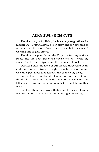## **ACKNOWLEDGMENTS**

Thanks to my wife, Babe, for her many suggestions for making *No Turning Back* a better story and for listening to me read her the story three times to catch the awkward wording and logical errors.

Thank you again, Samantha Fury, for turning a stock photo into the Beth Sanchez I envisioned as I wrote my story. Thanks for designing another wonderful book cover.

Our Lord says the days of our life are threescore years and ten. If we are strong enough to reach fourscore years, we can expect labor and sorrow, and then we fly away.

I am well into that decade of labor and sorrow, but I am thankful that God has not made it too burdensome and has left me with words and wits enough to complete another novel.

Finally, I thank my Savior that, when I fly away, I know my destination, and it will certainly be a glad morning.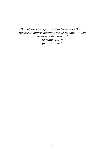*Do not seek vengeance, but leave it to God's righteous anger, because the Lord says, "I will avenge. I will repay." Romans 12:19 (paraphrased)*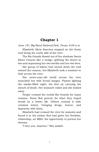## **Chapter 1**

*June 14th, Big Bend National Park, Texas, 6:00 a.m.*

Elizabeth Alicia Sanchez stopped on the dusty trail lining the north side of the river.

The Rio Grande flowed out of the shadowy Santa Elena Canyon like a wedge, splitting the desert in two and separating her two worlds and her two lives.

Her group of hikers had moved down the trail toward the canyon, but Elizabeth took a moment to look across the river.

Her seven-year-old world across the river assaulted her with brutal images. Flames lighting the smoke-filled night, the foul air carrying the stench of death. Her stomach roiled and she looked away.

People crossed the turbid Rio Grande for many reasons. Some fled poverty for what they hoped would be a better life. Others crossed it with criminal intent, bringing drugs, horror, and depravity with them.

Elizabeth had crossed the river for amnesty and found it in the nation that had given her freedom, citizenship, an MBA, the opportunity to pursue her dreams.

"I love you, America." She smiled.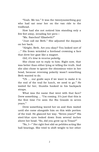"Yeah. Me too." It was the twentysomething guy who had sat near her on the van ride to the trailhead.

How had she not noticed him standing only a few feet away, invading her pers—

"Ms. Sanchez? Elizabeth?"

"Just call me Beth." She adjusted the daypack on her back.

"Alright, Beth. Are you okay? You looked sort of …" His frown wrinkled a forehead crowning a face that drew her gaze like a magnet.

*Girl, it's time to reverse polarity.*

She chose not to reply to him. Right now, that was better than either lying or telling the truth. And she also chose to ignore the obnoxious voice in her head, because reversing polarity wasn't something Beth wanted to do.

"Uh … our guide says if we want to make it to the end of the trail for lunch, we need to go." He waited for her, thumbs hooked in his backpack straps.

What was the name that went with that face? Drew something … "I'm coming. It's just that this is the first time I've seen the Rio Grande in seven years."

Drew something waved her on and then waited until she came alongside him on this wide portion of the trail. He glanced her way. "Seven years?" His steel-blue eyes looked down from several inches above her head. "So, did you grow up in Texas?"

"No, I—" Her right foot slid on pebbles acting like ball bearings. She tried to shift weight to her other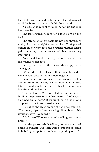foot, but the sliding jerked to a stop. Her ankle rolled until the bone on the outside hit the ground.

A pulse of pain shot through her ankle and into her lower leg.

She fell forward, headed for a face plant on the trail.

The straps of Beth's pack bit into her shoulders and pulled her upright onto her feet. That placed weight on her right foot and brought another sharp pain, sending the muscles of her lower leg spasming.

An arm slid under her right shoulder and took the weight off her foot.

Beth gritted her teeth but couldn't suppress a small groan.

"We need to take a look at that ankle. Looked to me like you rolled it about ninety degrees."

Before she could protest, Drew scooped up her one hundred and twenty-five pounds, as if he were lifting a small child, then carried her to a waist-high boulder and set her on it.

"Hold it, Hunter!" Drew called out to their guide leading the procession of fifteen hikers. "We've got a sprained ankle here." Drew unslung his pack and dropped to one knee at Beth's feet.

He untied the laces on one of her cross trainers. "You know, if you'd been wearing hiking boots, this wouldn't have happened."

Of all the—"Who are you to be telling me how to dress?"

"I'm the person who's telling you your sprained ankle is swelling. I've seen worse, but this is going to hobble you up for a few days, depending on …"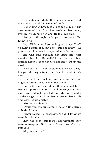"Depending on what?" She managed to force out the words through her clenched teeth.

"Depending on how good of shape you're in." His gaze scanned her from her ankle to her waist, eventually reaching her face. He took his time.

"Are you through with your inventory, Mr. Know-It-All?"

"Yep. All done. And you're in great shape. You'll be hiking again in a few days, but not today." He grinned until he saw the expression on her face.

She was mad because she hurt and even madder that Mr. Know-It-All had lectured her, grinned about it, then checked her out. "You are the most—"

"How bad is it?" Hunter stopped a few feet away, his gaze darting between Beth's ankle and Drew's face.

Drew had her sock off and was running his fingers around the outside of her ankle.

If a doctor had been doing that, it would have seemed appropriate. But a tall, twentysomething man, lean but well-muscled, one who was slightly on the rugged side of handsome, feeling her ankle and lower leg was highly—

"She can't walk on it."

"Would you two quit cutting me off." She glared at both of them.

Hunter raised his eyebrows. "I didn't know we were, Ms. Sanchez."

They had been, but it was her thoughts they were interrupting. What must Drew think after her outburst.

*Why do you care?*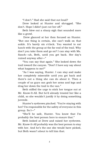"I don't." Had she said that out loud?

Drew looked at Hunter and shrugged. "She don't. Hope I didn't just cut her off."

Beth blew out a sharp sigh that sounded more like a growl.

Drew glanced at her then focused on Hunter. "But one thing is certain, she can't walk on that ankle. It's barely six o'clock. You wanted to eat lunch with the group at the far end of the trail. Why don't you take them and go on? I can stay with Ms. Sanch—uh, Beth, until you get back. Her day's ruined anyway after—"

"You can say that again." She looked down the trail toward the canyon. "Don't I have any say about what happens to me?"

"As I was saying, Hunter. I can stay and make her completely miserable until you get back and there's not a thing she can do about it. Then a couple of us guys can grab her arms and legs and drag her down the trail to the van."

Beth stifled the urge to stick her tongue out at Mr. Know-It-All. But he'd already treated her like a child, so she wouldn't justify it by doing something juvenile.

Hunter's eyebrows pinched. "You're staying with her? I'm responsible for the safety of everyone in this group. So I—"

"She'll be safe, Hunter. You know that I'm probably the best person here to ensure that."

Beth looked at Drew and raised her eyebrows. Mr. Know-It-All probably was the best person to stay with her. And he's the one she would have picked, but Beth wasn't about to tell him that.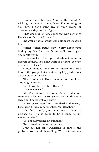Hunter dipped his head. "But I'm the one who's sticking his neck out here, Drew. I'm counting on you, bro. I don't want any of your drama or dramatics today. And no fights."

"That depends on Ms. Sanchez." One corner of Drew's mouth turned upward.

She would not take whatever bait he was feeding her.

Hunter looked Beth's way. "Sorry about your boring day, Ms. Sanchez. Guess we'll have to give you a rain check."

Drew chuckled. "Except that when it rains in canyon country, you don't want to be here. See you about two o'clock."

Hunter nodded and trotted down the trail toward the group of hikers standing fifty yards away on the bank of the river.

After Hunter left, Drew remained on one knee studying her ankle.

"You know, Mr. … uh … Drew—"

"It's Drew West."

"Mr. West. Staring at a woman's bare ankle was scandalous behavior a few years ago. Do that to a lady and it could get you shot."

"A few years ago? Try a hundred and twenty. Let's keep things in perspective, Ms. Sanchez."

"It's Beth. And, yes, let's keep things in perspective. This is going to be a long, *boring*, sweltering day."

"So, I'm babysitting an optimist."

She opened her mouth to protest.

Drew cut her off. "Sweltering is part of the problem. Your ankle is swelling. We don't have any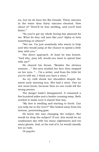ice, but we do have the Rio Grande. Thirty minutes in the water then thirty minutes elevated. How about it? There'll be less swelling, and you'll heal faster."

"So you've got my whole boring day planned for me. What do they call men like you? Alpha or beta something-or-others?"

"Not me. I'm just somebody who wants to help and who would jump at the chance to spend a little time with you."

The direct approach. At least he was honest. "And why, pray tell, would you want to spend time with me?"

He cleared his throat. "Besides the obvious reasons …" His eyes studied her face then stopped on her eyes. "… I'm a writer, and from the little bit you've told me, I think you have a story."

An icy chill shook her shoulders despite the warm early morning sun. She had a story. One no one must know, because then no one could tell the wrong person.

The danger hadn't disappeared. It remained a few hundred miles and a border crossing away. Beth needed to make sure it stayed that way.

"My foot is swelling and starting to throb. Can you help me to the river?" She looked away from his intense, penetrating gaze.

He knew she was changing the subject. But would he drop the subject? If not, this would be an unpleasant day with too many nightmares and too many ghosts. And, at the end of it, he would classify her as rude.

*Or psycho.*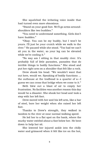She squelched the irritating voice inside that had turned even more obnoxious.

"Stand on your good foot. We'll go arms-aroundshoulders like two buddies."

"You need to understand something. Girls don't have *buddies*."

"Okay. You can be my buddy, but I won't be yours. I'll just be your crutch while we walk to the river." He paused while she stood. "Too bad we can't sit you in the water, so your leg can be elevated while we're cooling it."

"No way am I sitting in that muddy river. It's probably full of little parasites, parasites that do terrible things to bodily functions." She stood and put her right arm on a shoulder that felt like a rock.

Drew shook his head. "We wouldn't want that out here, would we. Speaking of bodily functions … the outhouse at the trailhead is a quarter of a—I guess we can cross that bridge when we come to it."

Beth blew out a blast of air to empty her frustration. No facilities was another reason this day would be a disaster. She shook her head and took a step with her left foot.

Drew moved with her and his left arm, like a bar of steel, bore her weight when she raised her left foot.

Thanks to Drew's strength, they walked in tandem to the river at near normal walking speed.

He led her to a flat spot on the bank, where the murky water swirled about a foot below her. He bent down to help her sit.

She lowered her injured ankle into the chilly water and grimaced when it felt like ice on the hot,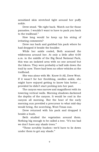sensitized skin stretched tight around her puffy ankle.

Drew stood. "Be right back. Watch out for those parasites. I wouldn't want to have to pack you back to the trailhead."

How long would he keep up his string of irritating comments?

Drew ran back and grabbed his pack where he had dropped it beside the boulder.

While her ankle cooled, Beth scanned the wilderness around her. At only a little after 6:00 a.m. in the middle of the Big Bend National Park, this was an isolated area with no one around but the hikers. They were probably a half mile down the trail by now. There had been no other vehicles at the trailhead.

She was alone with Mr. Know-It-All, Drew West. If it wasn't for her throbbing, swollen ankle, she might have enjoyed getting to know him better … provided he didn't start probing into her past.

The canyon was narrow and magnificent with its towering vertical walls. Morning shadows darkened the depths of the canyon. It would be cool in the canyon all morning. But the heat of the early morning sun provided a precursor to what mid-day would bring, the scorching, West-Texas sun.

Drew returned with his pack and dropped it beside a bush.

Beth studied the vegetation around them. Nothing big enough to be called a tree. "It's too bad we don't have any shade trees."

"These scrubby bushes—we'd have to lie down under them to get any shade."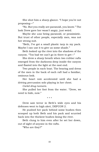She shot him a sharp glance. "I hope you're not proposing—"

"No. But you really are paranoid, you know." The look Drew gave her wasn't angry, just weird.

Maybe she *was* being paranoid, or pessimistic. But trust of other people, especially men, was not her strong suit.

"Beth, I've got a small plastic tarp in my pack. Maybe I can use it to give us some shade."

Beth looked up the river into the shadows of the canyon. "Too bad we can't go in there to get—"

She drew a sharp breath when two rubber rafts emerged from the darkness deep inside the canyon and floated into the light at the east end.

Two people in each boat. The bearing and dress of the men in the back of each raft had a familiar, ominous look.

Her heart rate accelerated until she had a driving percussion solo playing in her chest.

*Cartel drug runners.*

She pulled her foot from the water. "Drew, we need to hide, now."

\* \* \*

Drew saw terror in Beth's wide eyes and his defenses went to high alert, DEFCON 2.

He pushed her pack behind some bushes then scooped up both Beth and his pack and scurried back into the thickest bushes lining the river.

Beth clung to him even after he set her down, out of sight of anyone in the rafts.

"Who are they?"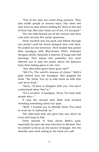"Two of the men are cartel drug runners. They also traffic people in several ways. The other two men have no idea what's waiting for them at the end of their trip. But nine times out of ten, it's not good."

The two rafts floated out of the canyon and were now only seventy-five yards upstream.

Drew reached into his pack and fished through one pocket until his hand clamped onto cool steel. He pulled out his Governor. He'd loaded this potent little handgun with Winchester PDX1 Defender shotgun shells, basically a mixture of slugs and ball bearings. This ammo was powerful, but most effective out to only ten yards, about the distance from their hiding place to the river.

"Any idea what guns these guys use?"

"AK-47s. The cartel's weapon of choice." Beth's gaze locked onto his handgun. She gripped his wrist. "No, Drew. You try to take them on with that and we're dead."

"Sorry. I'll have to disagree with you. You don't understand what '*that'* is."

"It's a revolver. A handgun. Drew, I've been with people who—"

It was the second time Beth had avoided revealing something about her past.

"Beth, I trusted you to identify them. You need to trust me to indemnify us."

The wild-eyed look she gave him was short on trust and long on fear.

Drew wanted to hear about Beth's past, especially the part she was reluctant to disclose. But he needed to focus on the source of danger, the two swarthy men each sitting in the back of a raft.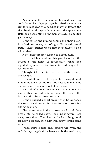As if on cue, the two men grabbed paddles. They could have given Olympic synchronized swimmers a run for a medal as they paddled in synch toward the river bank. And they paddled toward the spot where Beth had been sitting a few moments ago, a spot ten yards away.

Drew sat on the ground behind the short bush, hunched over to stay out of sight. He leaned toward Beth. "These bushes won't stop their bullets, so be still and—"

A soft rattle nearby turned to a loud buzz.

He turned his head and his gaze locked on the source of the noise. A rattlesnake, coiled and agitated, lay about six feet from his head. Maybe five feet from Beth's.

Though Beth tried to cover her mouth, a sharp cry escaped.

Drew's left hand held his gun, but his right hand had found a two-pound rock. He needed to make his choice before the snake lost all patience.

He couldn't shoot the snake and then shoot two men at their current distance before the men in the boat could unleash their weapons.

Drew launched a short prayer, then he launched the rock. He threw as hard as he could from his sitting position.

The stone struck the snake's neck and then drove into its coiled body, knocking it several feet away from them. The viper writhed on the ground for a few seconds, then slithered away toward some rocks.

When Drew looked back toward the river, the rafts bumped against the bank and both cartel men,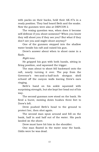with packs on their backs, held their AK-47s in a ready position. They had heard Beth and the snake. Now the gunmen were also at DEFCON 2.

The vexing question was, when does it become self-defense if you shoot someone? When you know they will shoot you if they see you? But what if they don't see you and might shoot anyway?

One of the gunmen stepped into the shallow water beside his raft and raised his gun.

Drew's answer about when to shoot came in a flash.

*Right now.*

He gripped his gun with both hands, sitting in firing position, and squeezed the trigger.

The man about to shoot fell backward onto the raft, nearly turning it over. The pop from the Governor's two-and-a-half-inch shotgun shell echoed off the canyon walls leaving Drew's ears ringing.

Beth's hand on his ankle squeezed with surprising strength, but she kept her head out of his way.

The second gunman now stood on the bank. He fired a burst, mowing down bushes three feet to Drew's left.

Drew pushed Beth's head to the ground to protect her, then shot again.

The second man spun around and fell on the bank, half in and half out of the water. His pack landed on the shore.

Drew must have hit him in the shoulder.

One man floated in the water near the bank. Odds were he was dead.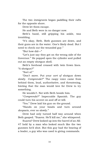The two *immigrants* began paddling their rafts for the opposite shore.

Drew let them escape.

He and Beth were in no danger now.

Beth's hand, still gripping his ankle, was trembling.

"It's okay, Beth. Both gunmen are down, and their guns are in the water. One's likely dead. But I need to check out the wounded guy."

"But how did—"

"Let's just say they got on the wrong side of the Governor." He popped open the cylinder and pulled out an empty shotgun shell.

Beth's forehead creased with twin frown lines. "A shotgun?"

"Sort of."

"Don't move. Put your *sort of* shotgun down slowly. *Comprende*?" The raspy voice came from behind them, loud, authoritative, and threatening, hinting that the man would love for Drew to try something.

He wouldn't. Not with Beth beside him.

"*Comprende*?" Impeccable Spanish. The guy could turn his accent on and off at will.

"Yes." Drew laid his gun on the ground.

"Hands on your heads and turn around *despacio*, ever so slowly."

Drew had only turned half way around when Beth gasped. "Suarez. He'll kill me," she whispered.

Suarez? Drew looked up into the barrel of an AK-47 held by a man who looked much like the two gunmen he'd shot. But this guy had the bearing of a leader, a guy who was used to giving commands.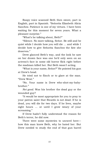Raspy voice scanned Beth then swore, part in English, part in Spanish. "Señorita Elizabeth Alicia Sanchez. Patience is one of my virtues. I have been waiting for this moment for seven years. What a pleasant surprise."

"What's he talking about, Beth?"

"Silence. No more talking, Señor. Be still and be quiet while I decide how you will die … and while I decide how to give Señorita Sanchez the fate she deserves."

Drew glanced Beth's way, and the look he saw on her drawn face was one he'd only seen on an actress's face in some old horror flick right before the madman killed her. But Beth wasn't acting.

"What is your name, Señor?" He pointed his gun at Drew's head.

He tried not to flinch or to glare at the man. "Drew West."

"No. Your name is Drew who-shot-my-babybrother."

*Not good.* Was his brother the dead guy or the wounded guy?

"It would be most appropriate for you to pray to your patron saint that Ricardo is not dead. If he is dead, you will die for two days. If he lives, maybe eight hours … or until I grow weary of your screaming."

If Drew hadn't fully understood the reason for Beth's terror, he did now.

There were some mysteries to unravel here how this man knew Beth, why he hated her. But Drew needed to study the end of that gun barrel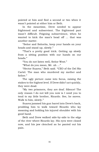pointed at him and find a second or two when it wasn't pointed at either him or Beth.

In the meantime, Drew needed to appear frightened and subservient. The frightened part wasn't difficult. Feigning subservience, when he wanted to kick the man's head off … that was another matter.

"Señor and Señorita, keep your hands on your heads and stand up, slowly."

"That's a pretty good trick. Getting up slowly from a sitting position with our hands on our heads."

"You do not listen well, Señor West."

"What do you mean, Mr. uh …"

"Hector Suarez," Beth said. "CEO of the Del Rio Cartel. The man who murdered my mother and father"

The ugly picture came into focus, raising the stakes to the highest level. If Drew didn't act quickly, they were dead.

"My two prisoners, they are deaf. Silence! The only reason I do not kill you now is I need you to tend to my little brother, Ricardo. See, he moves. Walk to him, slowly."

Suarez jammed his gun barrel into Drew's back, prodding him to walk toward Ricardo who lay moaning and holding his injured shoulder with his good hand.

Beth and Drew walked side-by-side to the edge of the river where Ricardo lay. His eyes were closed now, and his jaw clenched as he panted out his pain.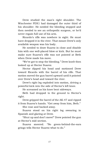Drew studied the man's right shoulder. The Winchester PDX1 had damaged the outer third of his shoulder. He needed the bleeding stopped and then needed to see an orthopedic surgeon, or he'd never regain full use of his arm.

Ricardo's rifle was nowhere in sight. He must have dropped it in the river. That meant Drew's only available weapon was his body.

He needed to draw Suarez in close and disable him with one well-placed blow or kick. But he must make sure Suarez's rifle was not pointed at Beth when Drew made his move.

"We've got to stop the bleeding." Drew knelt then looked up at Hector Suarez.

Hector dipped his head and motioned Drew toward Ricardo with the barrel of his rifle. That motion moved the gun barrel upward until it pointed over Drew's head and toward the river.

Drew's right leg exploded into motion, driving a powerful kick into the side of Hector's left knee.

He screamed as his knee bent sideways.

Beth had dropped to the ground to Hector's right.

Drew gripped the barrel of the AK-47 and ripped it from Suarez's hands. "Get away from him, Beth."

She rose and backed away.

Suarez stood on his right leg swearing in Spanish and glaring at Drew.

"Shut up and don't move!" Drew pointed the gun at Hector's mid-section.

Suarez sneered. "No green-behind-the-ears gringo tells Hector Suarez what to do."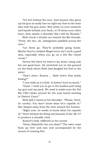"It's wet behind the ears. And anyone who gives up his gun so easily has no right say that to the man who took his gun away. Now down on your stomach and hands behind your back, or I'll shoot your other knee, then maybe a shoulder like I did for Ricardo."

Beth stuck a thumb out toward the Rio Grande. "Drew, the two, uh, immigrants paddled across the river."

"Let them go. They're probably going home. Maybe they've realized illegal entry isn't such a good idea, especially when you go on a Del Rio Cartel cruise."

Hector fell when he tried to lay down using only his one good knee. He stretched out on the ground on the bank where Beth had dangled her foot in the water.

"Don't move, Suarez … Beth how's that ankle feeling?"

"I can walk on it a little. It doesn't hurt as much."

"Good. I need you to go to the bushes and bring my gun and my pack. We need to make sure the Del Rio CEO sticks around for the next board meeting in District Court."

Beth laid a hand on his shoulder. "Please, Drew, be careful. You don't know what he's capable of." She limped away from the river toward the bushes.

"Right now, he needs to know what I'm capable of." Drew worked the firing mechanism of the AK-47 to produce a metallic click.

Suarez's body stiffened at the sound.

"Drew, Elizabeth! Are you okay?" The voice came from up river and was now accompanied by the sound of running feet.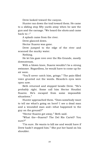Drew looked toward the canyon.

Hunter ran down the trail toward them. He came to a sliding stop fifty yards away when he saw the gun and the carnage. "We heard the shots and came back to—"

A splash came from the river.

Drew glanced down.

Hector Suarez was gone.

Drew jumped to the edge of the river and scanned the murky water.

Nothing.

He let his gaze rove over the Rio Grande, mostly downstream.

With a blown knee, Suarez wouldn't be a strong swimmer. Regardless, he would have to come up for air soon.

"You'll never catch him, gringo." The pain-filled voice grunted out the words. Ricardo's eyes were open now.

Beth returned and stopped beside Drew. "He's probably right. Some call him Hector Houdini Suarez. He's escaped from some impossible situations."

Hunter approached them. "Does somebody want to tell me what's going on here? I see a dead man and a wounded man and—what happened to the guy on the ground?"

"Hector Suarez got away," Beth said.

"What the—Suarez? The Del Rio Cartel? You sure?"

"I'm sure. He wants to kill me and would have if Drew hadn't stopped him." She put her hand on his shoulder.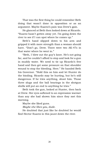That was the first thing he could remember Beth doing that wasn't done in opposition or as an argument. Maybe Suarez's pain was Drew's gain.

He glanced at Beth then looked down at Ricardo. "Suarez hasn't gotten away yet. I'm going down the river to see if I can spot where he comes up."

Beth's hand slipped down to his arm and gripped it with more strength than a woman should have. "Don't go, Drew. There were two AK-47s in that water where he went in."

"Beth, I blew out the guy's knee. He's not going far, and he couldn't afford to stop and look for a gun in muddy water. We need to tie up Ricardo's free hand and then get some pressure on that shoulder wound to stop the bleeding. Here." He handed Beth his Governor. "Hold this on him and let Hunter do the binding. Ricardo may be hurting, but he's still dangerous. If he tries anything, shoot him. Those three slugs and the ball bearings in the shotgun shells will put an end to anything he tries."

Beth took the gun, looked at Hunter, then back at Drew. Her eyes softened to an expression warmer than any she had shown him since they met this morning.

Maybe she liked guns.

*Maybe she likes you, dude.*

He doubted that just like he doubted he would find Hector Suarez in this jaunt down the river.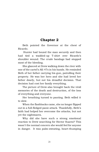## **Chapter 2**

Beth pointed the Governor at the chest of Ricardo.

Hunter had bound the man securely and then had tied a wadded-up T-shirt over Ricardo's shoulder wound. The crude bandage had stopped most of the bleeding.

She glanced at Drew walking down the river with one of the cartel's AK-47s in his hands. He reminded Beth of her father carrying his gun, patrolling their property. He was her hero and she had loved her father dearly, but not his dreadful decision. That decision had cost her family everything.

The picture of Drew also brought back the vivid memories of the death and destruction, of the loss of everything and everyone.

Her breathing turned to panting. Beth willed it to slow.

When the flashbacks came, she no longer flipped out in a full-fledged panic attack. Thankfully, Beth's faith had helped her overcome the attacks, but not yet the nightmares.

Why did she have such a strong emotional reaction to Drew searching for Hector Suarez? This wasn't the normal concern she would feel for anyone in danger. It was palm-sweating, heart-thumping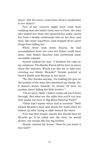worry. Did the worry come from Drew's similarities to her father?

Part of her concern might have come from realizing that she hadn't been nice to Drew, the man who helped her when she sprained her ankle, saved her from a deadly rattlesnake bite on her face, and then, like some superhero, had stopped three cartel thugs from killing her.

When Drew took down Suarez, he had accomplished feats not even her father could have done. And Rafael Sanchez had performed some incredible exploits.

Hunter walked her way. "I finished the calls on my satphone. The Border Patrol will be here in about thirty-five minutes. Would you like me to take over covering our friend, Ricardo?" Hunter pointed at Drew's Smith and Wesson in her hand.

"No. But thanks anyway. I'm holding the gun on the brother of the man who murdered my family. So, if Suarez shows himself, he knows I'll have no qualms about killing his little brother."

"I'm so sorry, Beth. I didn't realize all you'd been through. But what are the odds that you'd run into that snake out here in Big Bend National Park?"

"Odds don't matter when God is involved." Beth kicked Ricardo's boot and shook her head when he looked up after trying to slide toward the water.

If he was that stupid, maybe she should have let Ricardo go. If he rolled into the river, he would drown, not escape like his big brother.

Hunter cleared his throat. "How do you know it was God?"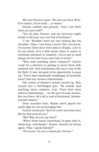She met Hunter's gaze. "He sent me Drew West. If he hadn't, I'd be dead … or worse."

Hunter nodded and grinned. "Can I tell Drew what you just said?"

"You do that, Hunter, and the Governor might decide to fill your rear end full of buckshot."

"I see. Wouldn't want my rear looking like his shoulder. Okay. I can keep a secret. But, you know, I've known Drew since were kids in Oregon. Just to let you know, he's a little dense when it comes to anything relational or romantic. You've got to spell things out for him if you want him to know."

"Who said anything about romance?" Hunter could be a shortcut to getting to know Drew with minimal risk. And minimizing risk was a way of life for Beth. It was too good of an opportunity to pass up. "If he's that relationally challenged, he probably hasn't had any serious relationships."

The corner of Hunter's mouth turned up, then turned into a full-fledged grin. "So nobody said anything about romance, huh. There have been serious relationships … on the part of some women. But not Drew. He's left a trail of frustrated, brokenhearted women."

Drew sounded toxic. Maybe she'd played her cards right by not encouraging him.

Hunter continued. "But I've never seen him react like he has around you."

"Me? Why do you say that?"

"When Drew wants something, he goes after it, whole-hog, relentlessly." Hunter cleared his throat again. "May I speak frankly?"

"Of course. I'm not a school girl, Hunter."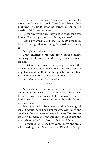"Uh, yeah. I've noticed. And so has Drew. But it's more than how you … look. Drew looks deeper than that until he finds what he wants or thinks he needs. I think he's found—"

"Come on. We've only known each other for a few hours. How can you, or even Drew, know—"

"Mark my word. You'll see, Beth. Be prepared, because he's good at storming the castle and taking it."

Beth glanced down river.

Drew sauntered up the river toward them, carrying the rifle in one hand. His eyes laser-focused on her.

Decision time. Was she going to raise the drawbridge or leave it down? If Hunter was right, it might not matter. If Drew thought he wanted her, he might storm Beth's castle to get her.

*I'm not sure how I feel about that.*

\* \* \*

As nearly as Drew could figure it, Suarez had gone under and swam downstream for at least twohundred yards to surface out of Drew's sight. Suarez had done that in two minutes with a throbbing, useless knee.

Even going with the current and with two good legs, it would have been impressive. With only one good leg, the man seemed superhuman. But Suarez was only human, or Drew couldn't have disabled the man when he had the drop on Beth and Drew.

He focused on Beth, fifty yards down the trail, still holding the Governor on Ricardo, though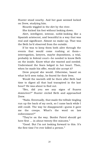Hunter stood nearby. And her gaze seemed locked on Drew, studying him.

Ricardo wiggled in the dirt by the river.

She kicked his foot without looking down.

Alert, intelligent, intense, noble-looking like a Spanish aristocrat, and beautiful in a way that was real and significant. Almost no make-up. That was the Beth he'd observed from the outside.

If he was to keep them both alive through the events that would come rushing at them interrogation, lawyers, maybe depositions, a trial, probably in federal court—he needed to know Beth on the inside. Know what she wanted and needed. Understand the fears lodged in her heart. Then, when he made his offer, would she accept it?

Drew prayed she would. Otherwise, based on what he'd seen today, he feared for their lives.

Would the warmth still be there after Beth had time to digest all that had transpired in the last hour? He was about to find out.

"Bro, did you see any signs of Suarez downriver?" Hunter circled Beth and approached Drew.

"Nada. Eventually, that made the telltale tingling run up the back of my neck, so I came back while I still could. The way he disappeared—guess it gave me the creeps. What's the word on law enforcement?"

"They're on the way. Border Patrol should get here first … in about twenty-five minutes."

"Good. But I'm not looking forward to this. It's the first time I've ever killed a person."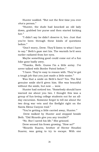Hunter nodded. "But not the first time you ever *shot* a person."

"Hunter, the dude had knocked an old lady down, grabbed her purse and then started kicking her"

"I didn't say he didn't deserve it, bro. Just that you've been through these kinds of questions before."

"Don't worry, Drew. They'll listen to what I have to say." Beth's gaze met his. The warmth he'd seen earlier radiated from her eyes.

Maybe something good could come out of a fun hike gone badly awry.

"Thanks, Beth. Guess I'm a little antsy. I've never talked with Border Patrol before."

"I have. They're easy to reason with. They've got a tough job that you just made a little easier."

Was that a smile on Beth's face? Yes. The first genuine smile she'd given him. She was beautiful without the smile, but now … wow.

Hunter had noticed too. "Somebody should have warned me about you two. I thought this was a group of fun-loving college students out for an allday excursion. Someone forgot to tell me about the two drug war vets and the firefight right on the Santa Elena Canyon trail."

"You're getting a little carried away, Hunter."

Drew walked by Hunter and stopped beside Beth. "Did Ricardo give you any trouble?"

"No. But I saved his life." She grinned.

Drew sensed his frown growing. "How so?"

"Ricardo Suarez, brother of Hector Houdini Suarez, was going to try to escape. With one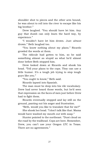shoulder shot to pieces and the other arm bound, he was about to roll into the river to escape like his big brother."

Drew laughed. "You should have let him. Any guy that dumb can only learn the hard way, by experience."

"I wouldn't have let him drown. Just *almost* drown." Beth laughed too.

"You know nothing about my plans." Ricardo growled the words at them.

The ridicule had gotten to him, so he said something almost as stupid as what he'd almost done before Beth stopped him.

Drew looked down at Ricardo and shook his head. "Tell your plans to the cops. They can use a little humor. It's a tough job trying to stop tough guys like you."

"You ought to know," Beth said.

Ricardo lapsed into Spanish.

The man must be deep into his vile vocabulary. Drew had never heard those words, but he'd seen that expression on the faces of men just before Drew had to fight them.

Ricardo eventually stopped and lay still on the ground, panting out his anger and frustration.

"Beth, would you like to translate that for me?"

She shook her head. "I don't talk like that. Mama would have washed my mouth out with soap."

Hunter pointed to the northeast. "Dust cloud on the road by the trailhead. Cops are here. Remember, Drew, you can't use your Oregon LTC in Texas. There are no agreements."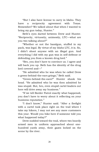"But I also have license to carry in Idaho. They have a reciprocity agreement with Texas. Remember? We talked about that when I wanted to bring my gun today, Hunter."

Beth's eyes darted between Drew and Hunter. "Reciprocity, virtuosity, animosity, LTC—what are you two talking about?"

"Whether or not the handgun, stuffed in my pack, was legal. By virtue of my Idaho LTC, it is. So, I didn't shoot anyone with an illegal gun. And everything I did with my gun was in self-defense or defending you from a known drug lord."

"Bro, you don't have to convince us. I agree and will back you up. Beth has the identity of the drug lord covered and—"

"He admitted who he was when he called Drew a green-behind-the-ears gringo," Beth said.

"Green-behind-the-ears?" Hunter shook his head. "He admitted who he was then admitted he was stupid. But, bro, even stupid cartel leaders out here will drive away my business."

"If we tell Border Patrol exactly what happened, you don't have to worry about it reflecting on your business reputation."

"I don't know," Hunter said. "After a firefight with a cartel took place right on the trail where I take my hikers, I may not see any more customers this year. Would you hike here if someone told you what happened today?"

Drew nodded toward the trail, where two heavily armed men in uniform approached about onehundred yards away, their gazes locked on the scene by the river.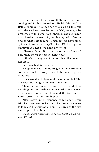Drew needed to prepare Beth for what was coming and for his proposition. He laid his hand on Beth's shoulder. "Beth, after they sort all this out with the various agencies in the DOJ, we might be presented with some hard choices, choices made even harder because of your history with Suarez and by what I did to him. Remember, we have other options than what they'll offer. I'll help you whatever you need. We don't have to do—"

"Thanks, Drew. But I can take care of myself. You really storm the castle, don't you?"

If that's the way she felt about his offer to save her life …

Beth reached for his arm.

He ignored Beth's hand tugging on his arm and continued to turn away, toward the men in green uniforms.

One carried a shotgun and the other an M4. The guy with the shotgun pointed at Ricardo.

Then the two looked at Hunter, Beth, and Drew standing on the riverbank. It seemed that the eyes of both men bored into Drew and the two Border Patrol agents did not look happy.

After Beth's initial response to his offer, Drew felt like those men looked. And he needed someone to take out his frustrations on. He glared at the two men approaching him.

*Dude, you'd better cool it, or you'll get locked up with Ricardo.*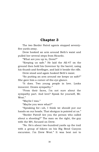#### **Chapter 3**

The two Border Patrol agents stopped seventyfive yards away.

Drew hooked an arm around Beth's waist and pulled her several steps from Ricardo.

"What are you up to, Drew?"

"Keeping us safe." He laid the AK-47 on the ground then held his Governor by the barrel, using his thumb and forefinger, and laid it beside the rifle.

Drew stood and again hooked Beth's waist.

"So putting an arm around me keeps us safe?" She gave him a corner-of-the-eye glance.

"It does. Two young people in love. Looks innocent. Draws sympathy."

"From their faces, I'm not sure about the sympathy part. And love? Speak for yourself, Mr. West."

"Maybe I was."

"Maybe you were what?"

"Speaking for—uh, I think we should put our hands on our heads. That shotgun is pointed at us."

"Border Patrol! Are you the person who called about a shooting?" The man on the right, the guy with the M4, focused on Drew.

"No. He's about two-hundred yards up the trail with a group of hikers on his Big Bend Canyon excursion. I'm Drew West." It was best not to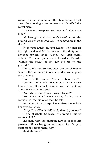volunteer information about the shooting until he'd given the shooting some context and identified the cartel men.

"How many weapons are here and where are they?"

"My handgun and that man's AK-47 are on the ground. And there are two AK-47s somewhere in the river."

"Keep your hands on your heads." The man on the right motioned for the man with the shotgun to advance toward them. "Check out their guns, Abbott." The man paused and looked at Ricardo. "What's the status of the guy tied up on the ground?"

"That's Ricardo Suarez, baby brother of Hector Suarez. He's wounded in one shoulder. We stopped the bleeding."

"Suarez's little brother? You sure about that?"

"Certain," Beth said. "Hector came here to pick him up, but Drew took Suarez down and got his gun, then Suarez escaped."

"And who are you? Ricardo's girlfriend?"

"No. She's mine." Drew spoke, forcing more confidence into his voice than he felt.

Beth shot him a sharp glance, then the look in her eyes softened.

"Okay. Drew West's girlfriend, identify yourself."

"I am Elizabeth Sanchez, the woman Suarez wants to kill."

The man with the shotgun turned to face his partner. "All visible guns accounted for. Do you want me to search them, Coy?"

"Just Mr. West."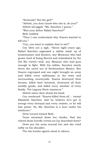"Seriously? Not the girl?"

"Abbott, you don't know who she is, do you?"

Abbott shrugged. "Ms. Sanchez, I guess."

"Was your father Rafael Sanchez?"

Beth nodded.

"Then I can understand why Suarez wanted to kill you."

"Coy, you want to explain that to me?"

Coy blew out a sigh. "About eight years ago, Rafael Sanchez organized a militia made up of businessmen and farmers, any Mexicans who had grown tired of being fleeced and intimidated by the Del Rio Cartel—well, any Mexican who had guts enough to fight. With his militia, Sanchez nearly drove the cartel out of Northeastern Mexico. But Suarez regrouped and one night brought an army and killed every militiaman in the town and surrounding countryside. Suarez destroyed their houses, killed their livestock, destroyed all their worldly goods, and killed every member of every family. The Laguna Norte massacre."

Abbott swore then shook his head.

Coy continued. "Suarez killed them all … except Elizabeth Sanchez. And he believes he's got to avenge every betrayal and every resister, or he will lose power. So, Ms. Sanchez is a burr under his sombrero."

Drew turned toward Beth.

Tears streamed down her cheeks. Had she relived those horrific events as Coy described them?

Drew put his arms around her and she cried softly on his shoulder.

The two border agents stood in silence.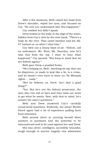After a few moments, Beth raised her head from Drew's shoulder, wiped her eyes, and focused on Coy. "So now you understand why this happened."

Coy nodded but didn't speak.

Drew looked at the body in the edge of the water, hidden from Coy's view by the river bank. "There's a body by the river. That cartel member had his AK-47 trained on us when I shot him."

Coy blew out a sharp blast of air. "Abbott, call an ambulance. Mr. West, Ms. Sanchez, now let's take this from the top. I want to hear what happened." Coy paused. "But keep in mind that we are federal agents."

Beth gave Drew a puzzled frown.

"He's helping us, Beth. Anything we say that can be disproven, or made to look like a lie, is a crime, and he doesn't even have to warn us. No Miranda rights … nada."

"But he believes us, Drew. Isn't that a good thing?"

"Yes. But he's not the federal prosecutor, the man who can call us liars and then twist our arms to get what he wants. Now, with that in mind, let's answer the man's questions."

Beth and Drew answered Coy's carefully constructed questions. Evidently, the senior Border Patrol agent had a lot of experience pulling facts from witnesses.

Beth proved clever in covering herself when answers to questions had the potential to be misconstrued and to be used against her and Drew.

She was clever, intelligent, incredibly beautiful, tough enough to survive tragedy—his admiration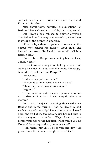seemed to grow with every new discovery about Elizabeth Sanchez.

After about thirty minutes, the questions for Beth and Drew slowed to a trickle, then they ended.

But Ricardo had refused to answer anything directed at him. His response to each question was to swear at the agents in Spanish.

"Ricardo lays there in pain and swears at the people who control his future," Beth said. She lowered her voice. "In Mexico, we would call him *tonto*, a fool."

"So the Lone Ranger was calling his sidekick, Tonto, a fool?"

"I don't know who you're talking about. But calling his sidekick *tonto* probably made him angry. What did he call the Lone Ranger?"

"Kemosabe."

"Did you say *quien no sabe*?"

"Maybe. It sounds sorta' like what I said."

"Then they must have argued a lot."

"Argued?"

"Drew, *quien no sabe* means a person who has no understanding. You know, stupid, idiotic, a moron."

"As a kid, I enjoyed watching those old Lone Ranger and Tonto reruns. I had no idea they had such a toxic relationship." Drew grinned then looked down the trail at the two paramedics headed toward them carrying a stretcher. "Hey, Ricardo, here comes your ride to the hospital. What would you do if one of those guys called you kemosabe?"

"I kill them, just like I do to you one day." He growled out the words through clenched teeth.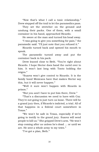"Now that's what I call a toxic relationship." Drew stepped off the trail to let the paramedics pass.

They set the stretcher on the ground and unslung their packs. One of them, with a small container in his hand, approached Ricardo.

He swore at the man and turned his head away.

"I was going to give you something for pain," the paramedic said. "I'll just note that you refused it."

Ricardo turned back and opened his mouth to speak.

The paramedic turned away and put the container back in his pack.

Drew leaned close to Beth. "You're right about Ricardo. I hope Hector does hand the cartel over to him. It won't last long with Tonto holding the reigns."

"Suarez won't give control to Ricardo. It is the family bond Mexicans have that makes Hector say this, but it will never happen."

"Well it sure won't happen with Ricardo in prison."

"But you and I have to put him there, Drew."

"That's a discussion we need to have with Coy. They're not going to just turn us loose. There will be a grand jury then, if Ricardo's indicted, a trial. All of that happens in a federal court somewhere in Texas."

"We won't be safe in Texas, especially if we're going to testify to the grand jury. Suarez will send people to kill us." She gripped Drew's arm. "He won't stop coming after us unless he's dead … or until we are. He sent a whole army to my town."

"I've got a plan, Beth."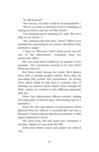"To kill Suarez?"

"Not exactly, but that could be accommodated."

"You're as crazy as Ricardo if you're thinking of taking on Hector and the Del Rio Cartel."

"I'm thinking about keeping you safe. But let's talk to Coy before—"

"Am I going to like this plan, Drew?" Beth's eyes studied his, searching for an answer. She didn't look alarmed or angry.

"I hope so. Because I don't think you'll care for any of the alternatives, including what the prosecutor offers."

Her eyes said she'd settled on an answer to her question. Her conclusion seemed to be that Drew West was full of it.

But Drew could change her mind. He'd always been able to change people's minds. Most often by pounding that person into submission. Or letting them watch while he did that to someone else. If blowing out Suarez's knee hadn't been enough for Beth, maybe he needed to take different approach with her.

Other law enforcement officers arrived, ending the discussion of Drew's plan and leaving him in a quandary.

From the bits and pieces of conversation Drew gleaned from the officers, it sounded like one was a Brewster County Deputy Sheriff and another a DEA agent stationed in Pecos.

The third man, the tall, quiet one, remained a mystery. Maybe he was from the FBI.

Drew took Beth's hand and pulled her toward Coy.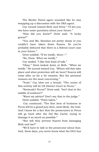The Border Patrol agent sounded like he was wrapping up a discussion with the DEA agent.

Coy turned toward Beth and Drew." I'll bet you two have some questions about your future."

"How did you know?" Drew said. "A lucky guess?"

"You and Ms. Sanchez are pretty sharp or you couldn't have taken down Suarez. So you've probably deduced that there is a federal court case in your future."

Drew nodded. "If we testify, there—"

"No, Drew. *When* we testify."

Coy smiled. "I like that kind of talk."

"Okay." Drew looked down at Beth. "*When* we testify." He turned toward Coy. "Where will this take place and what protection will we have? Suarez will come after us for a lot reasons. But the personal reasons are the most concerning."

"Yeah." Coy blew out a breath. "The center of this activity will be US District Court in Pecos."

"Seriously? Pecos?" Drew said. "Isn't that in the middle of nowhere?"

"Want my advice? Don't say that to the judge."

Drew nodded. "Point taken."

Coy continued. "The first item of business in Pecos will be a grand jury then, most likely, the trial. And I know for a fact that the prosecutors in Pecos will go hard after the Del Rio Cartel, trying to damage it as much as possible."

"But will they prevent Suarez from damaging Beth and me?"

"We'll have to talk to the prosecutor about that. And, these days, you never know what the DOJ has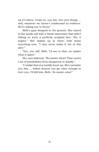up it's sleeve. Come on, you two. Get your things … well, whatever we haven't confiscated as evidence. We're taking you to Pecos."

Beth's gaze dropped to the ground. She stared at the sandy soil with a blank expression that didn't belong on such a perfectly sculpted face. "So, it begins." She looked up at Drew, with those searching eyes. "I may never make it out of this alive."

"Yes, you will, Beth. I'll see to that, no matter what it takes."

Her eyes widened. "No matter what? That covers a lot of possibilities from dangerous to deadly."

"I realize that you hardly know me. But I promise you this … before Suarez can get close enough to hurt you, I'll kill him, Beth. *No matter what*."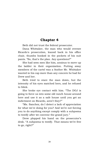### **Chapter 4**

Beth did not trust the federal prosecutor.

Dana Whittaker, the man who would oversee Ricardo's prosecution, leaned back in his office chair, thumbs hooked in the pockets of his suit pants. "So, that's the plan. Any questions?"

She had seen men like him, anxious to move up the ladder in their organization. Putting away members of the cartel was a feather Mr. Whittaker wanted in his cap more than any concern he had for Drew and her.

Beth tried to stare the man down, but the intensity of his eyes matched hers, and he refused to blink.

She broke eye contact with him. "The DOJ is going to force us into some old ranch house around here and use it as a safe house until you get an indictment on Ricardo, aren't they?"

"Ms. Sanchez, do I detect a lack of appreciation for what we're doing for you? And we're not forcing you to do anything except comply with a subpoena to testify after we convene the grand jury."

Drew plopped his hand on the prosecutor's desk. "A subpoena to testify. That means we're free to go, right?"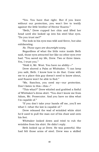"Yes. You have that right. But if you leave without our protection, you won't live to testify against the little brother of Hector Suarez."

"Beth," Drew cupped her chin and lifted her head until she looked up into his steel blue eyes. "Do you trust me?"

The look in his eyes was wild and fierce, but also exhilarating.

*No. Those eyes are downright scary.*

Regardless of what the little voice inside Beth said, those eyes attracted her like no other eyes ever had. "You saved my life, Drew. Two or three times. Yes, I trust you."

"Hold it, Mr. West. You have no ability—"

Drew shoved a Palm at Whittaker. "I can keep you safe, Beth. I know how to do that. Come with me to a place this guy doesn't need to know about, and Suarez won't be able to find."

"Ms. Sanchez, you need my—our protection. Don't listen to this—this—"

"This what?" Drew whirled and grabbed a fistful of Whittaker's dress shirt. "You don't know me from Adam, Mr. Prosecutor. And you have no idea what I'm capable of."

"If you don't take your hands off me, you'll see what I—what the law is capable of."

Drew released the wad of wrinkled white shirt he'd used to pull the man out of his chair and onto his feet.

Whittaker looked down and tried to rub the wrinkles from his shirt. He didn't reply.

Beth looked up at Drew. He was powerful. She had felt those arms of steel. Drew was a skilled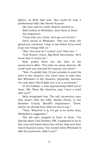fighter, as Beth had seen. But could he stop a professional killer like Hector Suarez?

His eyes said he could. Said he wanted to. Beth looked at Whittaker, then back at Drew. *No comparison.*

"I'll go with you, Drew. Let's get out of here."

Drew waved at Whittaker. "See you when the grand jury convenes. A day or two before if you need to go over things with us."

"But—but how do I contact you? How can—"

"Call Hunter Jones, Big Bend Excursions. He'll know how to reach me."

Beth pulled Drew out the door of the prosecutor's office. "You take too many chances. He could have you arrested for assault, you know."

"Nah. To satisfy him, I'd just promise to send his shirt to the cleaners. You never have to take men like Whittaker to the cleaners, physically, because the only place they'll fight you is in a courtroom."

In the hallway, a man approaching called out to them. "Mr. West, Ms. Sanchez, may I have a word with you?"

Beth recognized him. The tall, mysterious man who wasn't with the DEA, Border Patrol, or the Brewster County Sheriff's Department. "Drew, maybe we should hear what he has to say."

"Yeah. Whatever it is, it's got to be better than Whittaker's suggestion."

The tall man stopped in front of them. "I'm Special Agent Tom Preston, FBI. I happened to be in this area and heard about the call for help and then heard Suarez's name. You turned down Whittaker's offer for protection, didn't you?"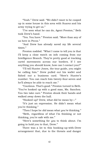"Yeah." Drew said. "We didn't want to be cooped up in some house in this area with Suarez and his army trying to get us."

"I've seen what he can do, Agent Preston," Beth took Drew's hand.

"Yes. You have." Preston said. "More than any of us here in Pecos."

"And Drew has already saved my life several times."

Preston nodded. "What I came to tell you is that I'll keep a close watch on info coming from our Intelligence Branch. They're pretty good at tracking cartel movements across our borders. If I see anything you should know, how can I contact you?"

"I'll tell Hunter Jones, the tour guide, you might be calling him." Drew pulled out his wallet and fished out a business card. "Here's Hunter's number. You can reach him twenty-four-seven and he'll always be able to reach me."

"Cautious. That's good." Preston turned to Beth. "You've hooked up with a good man, Ms. Sanchez. You two take care." Preston shook their hands and walked away down the hall.

"Hooked up? Drew, what did he mean by—"

"It's just an expression. He didn't mean what you're thinking."

"Then I hope he *did* mean what *you're* thinking."

"Beth, regardless of what I'm thinking or not thinking, you're safe with me."

"Here's something for *you* to think about. I'm going to hold you to that, Drew."

There was a lot to this hooking-up-with-Drew arrangement that, due to the threats and danger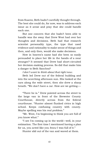from Suarez, Beth hadn't carefully thought through. The best she could do, for now, was to address each issue as it arose and pray that she could handle each one.

But one concern that she hadn't been able to handle was the sway that Drew West had over her thoughts and decisions. Beth had that research scientist personality type, the type that used evidence and rationality to make sense of things and then, and only then, would she make decisions.

How in heaven's name had she been so easily persuaded to place her life in the hands of a near stranger? It seemed that Drew had short-circuited her decision-making process. So did that make him a danger to Beth Sanchez?

#### *I don't want to think about that right now.*

Beth led Drew out of the federal building and into the scorching afternoon sun. She looked at the cars along the wide street, then she drew a sharp breath. "We don't have a car. How are we getting—- "

"There he is." Drew pointed across the street to the large van in front of the Brewster County Courthouse, directly across from the federal courthouse. "Hunter almost flunked civics in high school. Keeps confusing country with county. Maybe spelling was his real problem."

"Mr. West, I'm beginning to think you are full of you know what."

"I see I'm coming up in the world—well, in your estimation. The first time I mentioned having a plan for us, you acted like you *knew* I was full of it."

Hunter slid out of the van and waved at them.